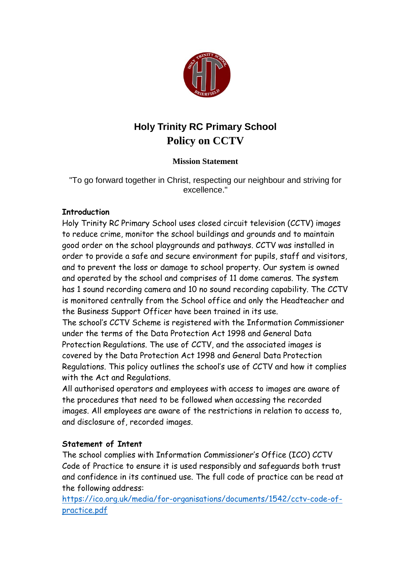

# **Holy Trinity RC Primary School Policy on CCTV**

## **Mission Statement**

"To go forward together in Christ, respecting our neighbour and striving for excellence."

### **Introduction**

Holy Trinity RC Primary School uses closed circuit television (CCTV) images to reduce crime, monitor the school buildings and grounds and to maintain good order on the school playgrounds and pathways. CCTV was installed in order to provide a safe and secure environment for pupils, staff and visitors, and to prevent the loss or damage to school property. Our system is owned and operated by the school and comprises of 11 dome cameras. The system has 1 sound recording camera and 10 no sound recording capability. The CCTV is monitored centrally from the School office and only the Headteacher and the Business Support Officer have been trained in its use.

The school's CCTV Scheme is registered with the Information Commissioner under the terms of the Data Protection Act 1998 and General Data Protection Regulations. The use of CCTV, and the associated images is covered by the Data Protection Act 1998 and General Data Protection Regulations. This policy outlines the school's use of CCTV and how it complies with the Act and Regulations.

All authorised operators and employees with access to images are aware of the procedures that need to be followed when accessing the recorded images. All employees are aware of the restrictions in relation to access to, and disclosure of, recorded images.

## **Statement of Intent**

The school complies with Information Commissioner's Office (ICO) CCTV Code of Practice to ensure it is used responsibly and safeguards both trust and confidence in its continued use. The full code of practice can be read at the following address:

[https://ico.org.uk/media/for-organisations/documents/1542/cctv-code-of](https://ico.org.uk/media/for-organisations/documents/1542/cctv-code-of-practice.pdf)[practice.pdf](https://ico.org.uk/media/for-organisations/documents/1542/cctv-code-of-practice.pdf)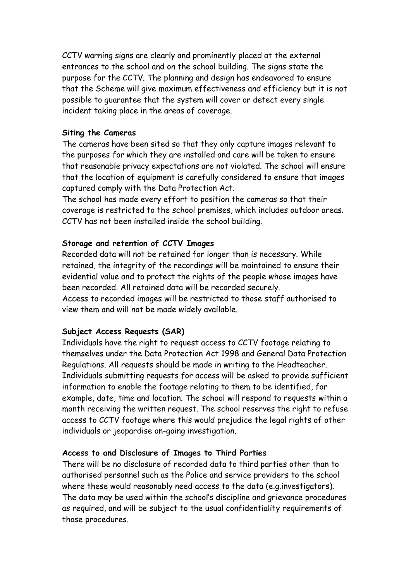CCTV warning signs are clearly and prominently placed at the external entrances to the school and on the school building. The signs state the purpose for the CCTV. The planning and design has endeavored to ensure that the Scheme will give maximum effectiveness and efficiency but it is not possible to guarantee that the system will cover or detect every single incident taking place in the areas of coverage.

#### **Siting the Cameras**

The cameras have been sited so that they only capture images relevant to the purposes for which they are installed and care will be taken to ensure that reasonable privacy expectations are not violated. The school will ensure that the location of equipment is carefully considered to ensure that images captured comply with the Data Protection Act.

The school has made every effort to position the cameras so that their coverage is restricted to the school premises, which includes outdoor areas. CCTV has not been installed inside the school building.

#### **Storage and retention of CCTV Images**

Recorded data will not be retained for longer than is necessary. While retained, the integrity of the recordings will be maintained to ensure their evidential value and to protect the rights of the people whose images have been recorded. All retained data will be recorded securely. Access to recorded images will be restricted to those staff authorised to view them and will not be made widely available.

#### **Subject Access Requests (SAR)**

Individuals have the right to request access to CCTV footage relating to themselves under the Data Protection Act 1998 and General Data Protection Regulations. All requests should be made in writing to the Headteacher. Individuals submitting requests for access will be asked to provide sufficient information to enable the footage relating to them to be identified, for example, date, time and location. The school will respond to requests within a month receiving the written request. The school reserves the right to refuse access to CCTV footage where this would prejudice the legal rights of other individuals or jeopardise on-going investigation.

#### **Access to and Disclosure of Images to Third Parties**

There will be no disclosure of recorded data to third parties other than to authorised personnel such as the Police and service providers to the school where these would reasonably need access to the data (e.g.investigators). The data may be used within the school's discipline and grievance procedures as required, and will be subject to the usual confidentiality requirements of those procedures.